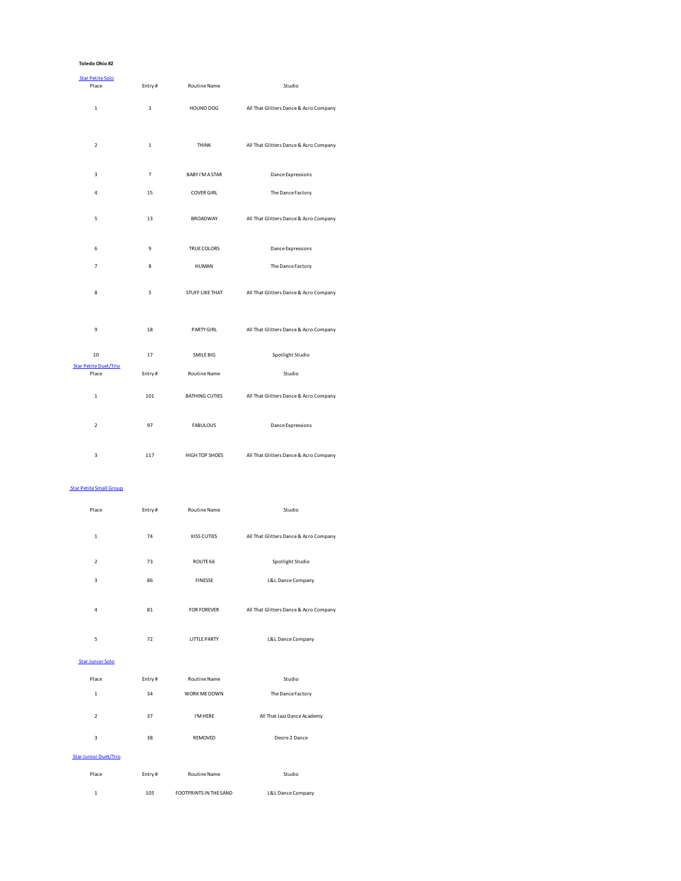## **Toledo Ohio #2**

| <b>Star Petite Solo</b><br>Place      | Entry#                  | <b>Routine Name</b>    | Studio                                 |
|---------------------------------------|-------------------------|------------------------|----------------------------------------|
| $\mathbf{1}$                          | $\overline{\mathbf{3}}$ | HOUND DOG              | All That Glitters Dance & Acro Company |
| $\mathbf 2$                           | $\mathbf 1$             | THINK                  | All That Glitters Dance & Acro Company |
| $\overline{\mathbf{3}}$               | $\overline{7}$          | <b>BABY I'M A STAR</b> | Dance Expressions                      |
| $\overline{4}$                        | 15                      | <b>COVER GIRL</b>      | The Dance Factory                      |
| 5                                     | 13                      | <b>BROADWAY</b>        | All That Glitters Dance & Acro Company |
| 6                                     | 9                       | TRUE COLORS            | Dance Expressions                      |
| $\overline{7}$                        | 8                       | HUMAN                  | The Dance Factory                      |
| 8                                     | 5                       | <b>STUFF LIKE THAT</b> | All That Glitters Dance & Acro Company |
| 9                                     | 18                      | PARTY GIRL             | All That Glitters Dance & Acro Company |
| 10                                    | 17                      | SMILE BIG              | Spotlight Studio                       |
| <b>Star Petite Duet/Trio</b><br>Place | Entry#                  | <b>Routine Name</b>    | Studio                                 |
| $\mathbf{1}$                          | 101                     | <b>BATHING CUTIES</b>  | All That Glitters Dance & Acro Company |
| $\overline{2}$                        | 97                      | <b>FABULOUS</b>        | <b>Dance Expressions</b>               |
| 3                                     | 117                     | HIGH TOP SHOES         | All That Glitters Dance & Acro Company |
| <b>Star Petite Small Group</b>        |                         |                        |                                        |
| Place                                 | Entry#                  | Routine Name           | Studio                                 |

| $\mathbf{1}$                 | 74     | KISS CUTIES                   | All That Glitters Dance & Acro Company |
|------------------------------|--------|-------------------------------|----------------------------------------|
| $\overline{2}$               | 73     | ROUTE 66                      | Spotlight Studio                       |
| 3                            | 86     | <b>FINESSE</b>                | L&L Dance Company                      |
| 4                            | 81     | <b>FOR FOREVER</b>            | All That Glitters Dance & Acro Company |
| 5                            | 72     | LITTLE PARTY                  | L&L Dance Company                      |
| <b>Star Junior Solo</b>      |        |                               |                                        |
| Place                        | Entry# | Routine Name                  | Studio                                 |
| $\mathbf{1}$                 | 34     | WORK ME DOWN                  | The Dance Factory                      |
| $\overline{2}$               | 37     | I'M HERE                      | All That Jazz Dance Academy            |
| 3                            | 38     | REMOVED                       | Desire 2 Dance                         |
| <b>Star Junior Duet/Trio</b> |        |                               |                                        |
| Place                        | Entry# | Routine Name                  | Studio                                 |
| 1                            | 105    | <b>FOOTPRINTS IN THE SAND</b> | L&L Dance Company                      |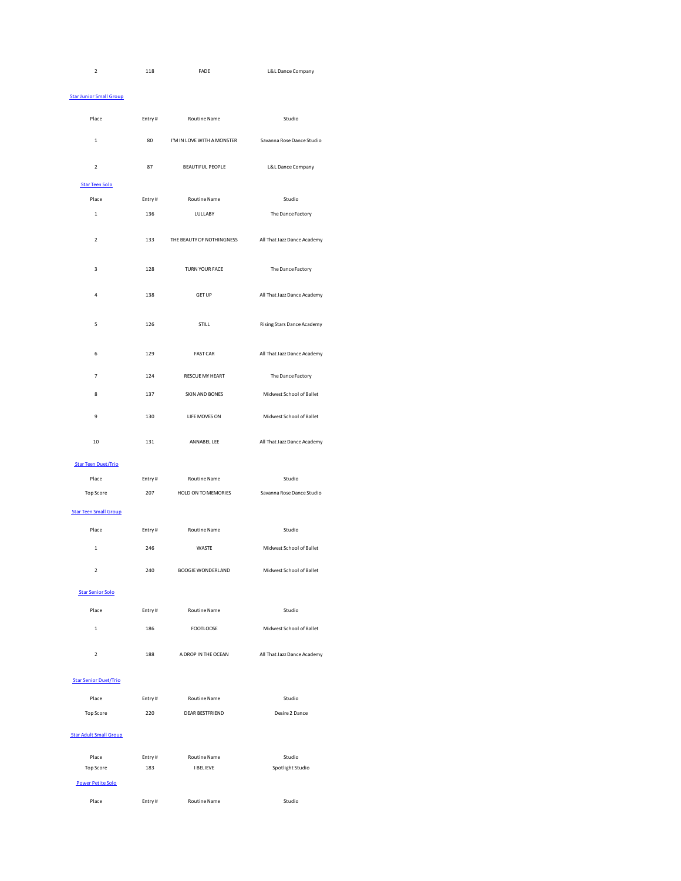| <b>FADE</b><br>118 | L&L Dance Company |
|--------------------|-------------------|
|--------------------|-------------------|

## Star Junior Small Group

| Place                         | Entry# | Routine Name               | Studio                      |
|-------------------------------|--------|----------------------------|-----------------------------|
| $\mathbf 1$                   | 80     | I'M IN LOVE WITH A MONSTER | Savanna Rose Dance Studio   |
| $\mathbf 2$                   | 87     | <b>BEAUTIFUL PEOPLE</b>    | L&L Dance Company           |
| <b>Star Teen Solo</b>         |        |                            |                             |
| Place                         | Entry# | Routine Name               | Studio                      |
| $\,1\,$                       | 136    | LULLABY                    | The Dance Factory           |
| $\overline{\mathbf{2}}$       | 133    | THE BEAUTY OF NOTHINGNESS  | All That Jazz Dance Academy |
| 3                             | 128    | TURN YOUR FACE             | The Dance Factory           |
| 4                             | 138    | <b>GET UP</b>              | All That Jazz Dance Academy |
| 5                             | 126    | STILL                      | Rising Stars Dance Academy  |
| 6                             | 129    | <b>FAST CAR</b>            | All That Jazz Dance Academy |
| $\overline{7}$                | 124    | RESCUE MY HEART            | The Dance Factory           |
| 8                             | 137    | SKIN AND BONES             | Midwest School of Ballet    |
| $\mathbf{q}$                  | 130    | LIFE MOVES ON              | Midwest School of Ballet    |
| 10                            | 131    | ANNABEL LEE                | All That Jazz Dance Academy |
| <b>Star Teen Duet/Trio</b>    |        |                            |                             |
| Place                         | Entry# | Routine Name               | Studio                      |
| Top Score                     | 207    | HOLD ON TO MEMORIES        | Savanna Rose Dance Studio   |
| <b>Star Teen Small Group</b>  |        |                            |                             |
| Place                         | Entry# | Routine Name               | Studio                      |
| $\mathbf 1$                   | 246    | WASTE                      | Midwest School of Ballet    |
| $\mathbf 2$                   | 240    | <b>BOOGIE WONDERLAND</b>   | Midwest School of Ballet    |
| <b>Star Senior Solo</b>       |        |                            |                             |
| Place                         | Entry# | Routine Name               | Studio                      |
| $\mathbf 1$                   | 186    | <b>FOOTLOOSE</b>           | Midwest School of Ballet    |
| $\overline{2}$                | 188    | A DROP IN THE OCEAN        | All That Jazz Dance Academy |
| <b>Star Senior Duet/Trio</b>  |        |                            |                             |
| Place                         | Entry# | <b>Routine Name</b>        | Studio                      |
| Top Score                     | 220    | <b>DEAR BESTFRIEND</b>     | Desire 2 Dance              |
| <b>Star Adult Small Group</b> |        |                            |                             |
| Place                         | Entry# | Routine Name               | Studio                      |
| Top Score                     | 183    | <b>I BELIEVE</b>           | Spotlight Studio            |
| Power Petite Solo             |        |                            |                             |
| Place                         | Entry# | <b>Routine Name</b>        | Studio                      |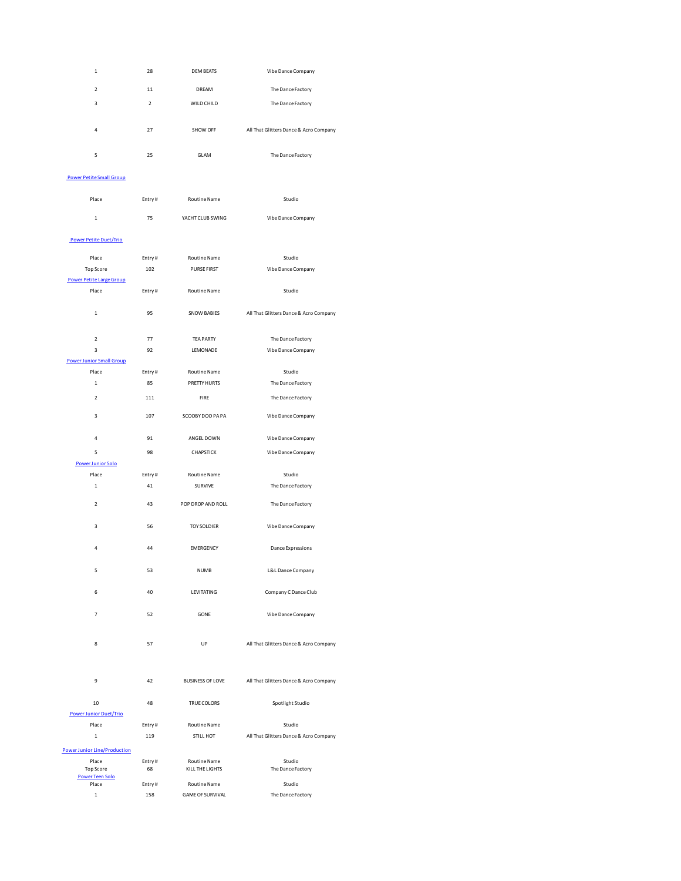| $\,1\,$                                | 28             | <b>DEM BEATS</b>                | Vibe Dance Company                     |
|----------------------------------------|----------------|---------------------------------|----------------------------------------|
| $\overline{\mathbf{2}}$                | $11\,$         | DREAM                           | The Dance Factory                      |
| 3                                      | $\overline{2}$ | WILD CHILD                      | The Dance Factory                      |
|                                        |                |                                 |                                        |
| $\overline{a}$                         | 27             | SHOW OFF                        | All That Glitters Dance & Acro Company |
|                                        |                |                                 |                                        |
| 5                                      | 25             | GLAM                            | The Dance Factory                      |
| <b>Power Petite Small Group</b>        |                |                                 |                                        |
|                                        |                |                                 |                                        |
| Place                                  | Entry#         | Routine Name                    | Studio                                 |
| $\mathbf 1$                            | 75             | YACHT CLUB SWING                | Vibe Dance Company                     |
|                                        |                |                                 |                                        |
| Power Petite Duet/Trio                 |                |                                 |                                        |
| Place                                  | Entry#         | Routine Name                    | Studio                                 |
| Top Score<br>Power Petite Large Group  | 102            | <b>PURSE FIRST</b>              | Vibe Dance Company                     |
| Place                                  | Entry#         | Routine Name                    | Studio                                 |
|                                        |                |                                 |                                        |
| $\mathbf{1}$                           | 95             | <b>SNOW BABIES</b>              | All That Glitters Dance & Acro Company |
| $\mathbf 2$                            | 77             | <b>TEA PARTY</b>                | The Dance Factory                      |
| $\overline{\mathbf{3}}$                | 92             | LEMONADE                        | Vibe Dance Company                     |
| <b>Power Junior Small Group</b>        |                |                                 |                                        |
| Place                                  | Entry#         | Routine Name                    | Studio                                 |
| $\mathbf 1$                            | 85             | PRETTY HURTS                    | The Dance Factory                      |
| $\mathbf 2$                            | 111            | FIRE                            | The Dance Factory                      |
| 3                                      | 107            | SCOOBY DOO PAPA                 | Vibe Dance Company                     |
| 4                                      | 91             | ANGEL DOWN                      | Vibe Dance Company                     |
| 5                                      | 98             | CHAPSTICK                       | Vibe Dance Company                     |
| <b>Power Junior Solo</b>               |                |                                 |                                        |
| Place                                  | Entry#         | Routine Name                    | Studio                                 |
| $\,1$                                  | 41             | SURVIVE                         | The Dance Factory                      |
| $\mathcal{P}$                          | 43             | POP DROP AND ROLL               | The Dance Factory                      |
|                                        |                |                                 |                                        |
| 3                                      | 56             | <b>TOY SOLDIER</b>              | Vibe Dance Company                     |
| 4                                      | 44             | <b>EMERGENCY</b>                | Dance Expressions                      |
|                                        |                |                                 |                                        |
| 5                                      | 53             | <b>NUMB</b>                     | L&L Dance Company                      |
| 6                                      | 40             | LEVITATING                      | Company C Dance Club                   |
|                                        |                |                                 |                                        |
| 7                                      | 52             | GONE                            | Vibe Dance Company                     |
|                                        |                |                                 |                                        |
| 8                                      | 57             | UP                              | All That Glitters Dance & Acro Company |
|                                        |                |                                 |                                        |
| 9                                      | 42             | <b>BUSINESS OF LOVE</b>         | All That Glitters Dance & Acro Company |
|                                        |                |                                 |                                        |
| 10                                     | 48             | TRUE COLORS                     | Spotlight Studio                       |
| <b>Power Junior Duet/Trio</b><br>Place | Entry#         | Routine Name                    | Studio                                 |
| $\mathbf 1$                            | 119            | STILL HOT                       | All That Glitters Dance & Acro Company |
|                                        |                |                                 |                                        |
| <b>Power Junior Line/Production</b>    |                |                                 |                                        |
| Place<br>Top Score                     | Entry#<br>68   | Routine Name<br>KILL THE LIGHTS | Studio<br>The Dance Factory            |
| <b>Power Teen Solo</b>                 |                |                                 |                                        |
| Place                                  | Entry#         | Routine Name                    | Studio                                 |
| $\mathbf 1$                            | 158            | <b>GAME OF SURVIVAL</b>         | The Dance Factory                      |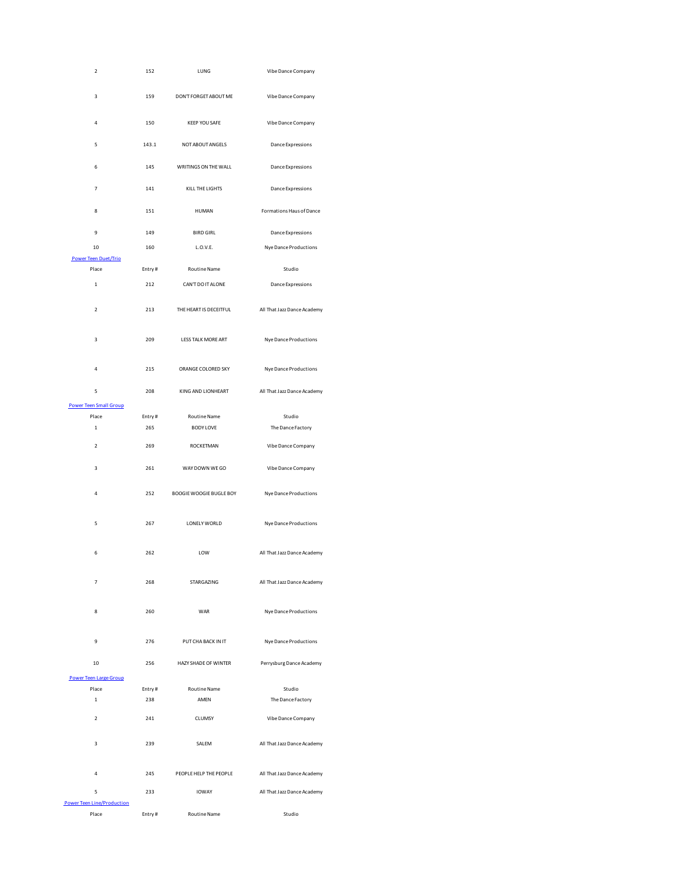| $\mathbf 2$                            | 152    | LUNG                    | Vibe Dance Company          |
|----------------------------------------|--------|-------------------------|-----------------------------|
| 3                                      | 159    | DON'T FORGET ABOUT ME   | Vibe Dance Company          |
| 4                                      | 150    | <b>KEEP YOU SAFE</b>    | Vibe Dance Company          |
| 5                                      | 143.1  | NOT ABOUT ANGELS        | Dance Expressions           |
| 6                                      | 145    | WRITINGS ON THE WALL    | Dance Expressions           |
| $\overline{7}$                         | 141    | KILL THE LIGHTS         | Dance Expressions           |
| 8                                      | 151    | <b>HUMAN</b>            | Formations Haus of Dance    |
| 9                                      | 149    | <b>BIRD GIRL</b>        | <b>Dance Expressions</b>    |
| 10                                     | 160    | L.O.V.E.                | Nye Dance Productions       |
| <b>Power Teen Duet/Trio</b>            |        |                         |                             |
| Place                                  | Entry# | Routine Name            | Studio                      |
| $\mathbf 1$                            | 212    | CAN'T DO IT ALONE       | Dance Expressions           |
| $\overline{2}$                         | 213    | THE HEART IS DECEITFUL  | All That Jazz Dance Academy |
| 3                                      | 209    | LESS TALK MORE ART      | Nye Dance Productions       |
| 4                                      | 215    | ORANGE COLORED SKY      | Nye Dance Productions       |
| 5<br><b>Power Teen Small Group</b>     | 208    | KING AND LIONHEART      | All That Jazz Dance Academy |
| Place                                  | Entry# | <b>Routine Name</b>     | Studio                      |
| $\mathbf 1$                            | 265    | <b>BODY LOVE</b>        | The Dance Factory           |
| $\overline{\mathbf{2}}$                | 269    | ROCKETMAN               | Vibe Dance Company          |
| 3                                      | 261    | WAY DOWN WE GO          | Vibe Dance Company          |
| 4                                      | 252    | BOOGIE WOOGIE BUGLE BOY | Nye Dance Productions       |
| 5                                      | 267    | LONELY WORLD            | Nye Dance Productions       |
| 6                                      | 262    | LOW                     | All That Jazz Dance Academy |
| $\overline{7}$                         | 268    | STARGAZING              | All That Jazz Dance Academy |
| 8                                      | 260    | WAR                     | Nye Dance Productions       |
| 9                                      | 276    | PUT CHA BACK IN IT      | Nye Dance Productions       |
| 10<br><b>Power Teen Large Group</b>    | 256    | HAZY SHADE OF WINTER    | Perrysburg Dance Academy    |
| Place                                  | Entry# | <b>Routine Name</b>     | Studio                      |
| $\mathbf 1$                            | 238    | AMEN                    | The Dance Factory           |
| $\mathbf 2$                            | 241    | CLUMSY                  | Vibe Dance Company          |
| 3                                      |        | SALEM                   | All That Jazz Dance Academy |
|                                        | 239    |                         |                             |
| 4                                      | 245    | PEOPLE HELP THE PEOPLE  | All That Jazz Dance Academy |
| 5<br><b>Power Teen Line/Production</b> | 233    | <b>IOWAY</b>            | All That Jazz Dance Academy |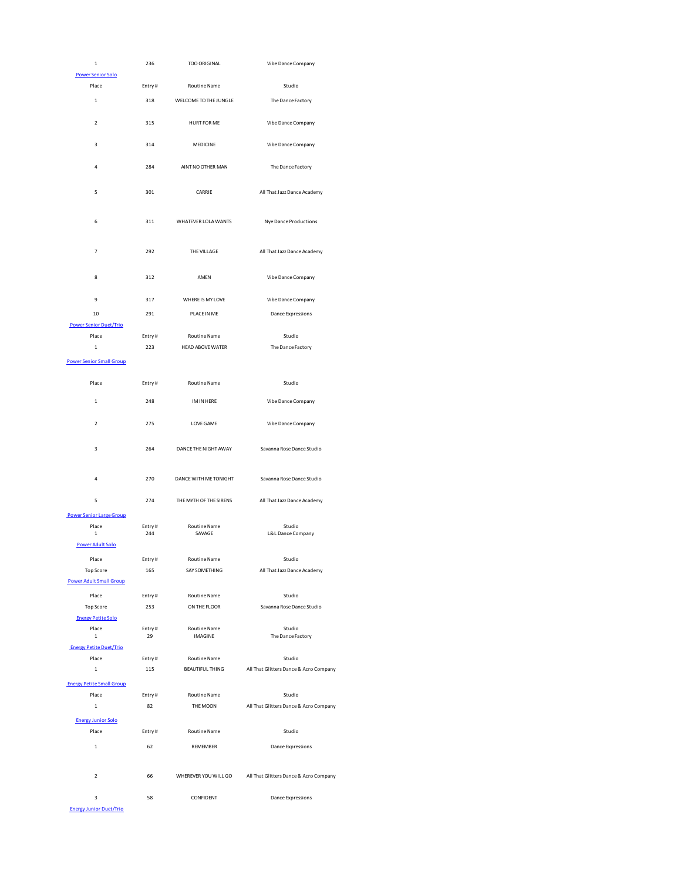| $\mathbf 1$                      | 236           | TOO ORIGINAL                                                | Vibe Dance Company                     |
|----------------------------------|---------------|-------------------------------------------------------------|----------------------------------------|
| <b>Power Senior Solo</b>         |               |                                                             |                                        |
| Place                            | Entry#        | Routine Name                                                | Studio                                 |
| 1                                | 318           | WELCOME TO THE JUNGLE                                       | The Dance Factory                      |
| $\overline{\mathbf{2}}$          | 315           | <b>HURT FOR ME</b>                                          | Vibe Dance Company                     |
| 3                                | 314           | MEDICINE                                                    | Vibe Dance Company                     |
| 4                                | 284           | AINT NO OTHER MAN                                           | The Dance Factory                      |
| 5                                | 301           | CARRIE                                                      | All That Jazz Dance Academy            |
| 6                                | 311           | WHATEVER LOLA WANTS                                         | Nye Dance Productions                  |
| 7                                | 292           | THE VILLAGE                                                 | All That Jazz Dance Academy            |
| 8                                | 312           | AMEN                                                        | Vibe Dance Company                     |
| 9                                | 317           | WHERE IS MY LOVE                                            | Vibe Dance Company                     |
| 10                               | 291           | PLACE IN ME                                                 | <b>Dance Expressions</b>               |
| <b>Power Senior Duet/Trio</b>    |               |                                                             |                                        |
| Place                            | Entry#        | Routine Name                                                | Studio                                 |
| $\mathbf 1$                      | 223           | <b>HEAD ABOVE WATER</b>                                     | The Dance Factory                      |
| <b>Power Senior Small Group</b>  |               |                                                             |                                        |
|                                  |               |                                                             |                                        |
| Place                            | Entry#        | Routine Name                                                | Studio                                 |
| $\mathbf 1$                      | 248           | IM IN HERE                                                  | Vibe Dance Company                     |
| $\overline{\mathbf{2}}$          | 275           | LOVE GAME                                                   | Vibe Dance Company                     |
| 3                                | 264           | DANCE THE NIGHT AWAY                                        | Savanna Rose Dance Studio              |
| 4                                | 270           | DANCE WITH ME TONIGHT                                       | Savanna Rose Dance Studio              |
| 5                                | 274           | THE MYTH OF THE SIRENS                                      | All That Jazz Dance Academy            |
| <b>Power Senior Large Group</b>  |               |                                                             |                                        |
| Place<br>$\mathbf 1$             | Entry#<br>244 | <b>Routine Name</b><br>SAVAGE                               | Studio<br>L&L Dance Company            |
| <b>Power Adult Solo</b>          |               |                                                             |                                        |
| $\mathsf{Place}$                 | Entry#        | <b>Routine Name</b>                                         | Studio                                 |
| <b>Top Score</b>                 | 165           | SAY SOMETHING                                               | All That Jazz Dance Academy            |
| <b>Power Adult Small Group</b>   |               |                                                             |                                        |
| Place                            | Entry#        | <b>Routine Name</b>                                         | Studio                                 |
| Top Score                        | 253           | ON THE FLOOR                                                | Savanna Rose Dance Studio              |
| <b>Energy Petite Solo</b>        |               |                                                             |                                        |
| Place                            | Entry#        | Routine Name                                                | Studio                                 |
| $\,1\,$                          | 29            | <b>IMAGINE</b>                                              | The Dance Factory                      |
| <b>Energy Petite Duet/Trio</b>   |               |                                                             |                                        |
| Place                            | Entry#        | Routine Name                                                | Studio                                 |
| $\mathbf 1$                      | 115           | <b>BEAUTIFUL THING</b>                                      | All That Glitters Dance & Acro Company |
| <b>Energy Petite Small Group</b> |               |                                                             |                                        |
| Place                            | Entry#        | Routine Name                                                | Studio                                 |
| $\mathbf 1$                      | 82            | THE MOON                                                    | All That Glitters Dance & Acro Company |
| <b>Energy Junior Solo</b>        |               |                                                             |                                        |
| Place                            | Entry#        | Routine Name                                                | Studio                                 |
| $\mathbf 1$                      | 62            | REMEMBER                                                    | Dance Expressions                      |
| $\overline{\mathbf{c}}$          |               | WHEREVER YOU WILL GO All That Glitters Dance & Acro Company |                                        |
|                                  | 66            |                                                             |                                        |
| 3                                | 58            | CONFIDENT                                                   | Dance Expressions                      |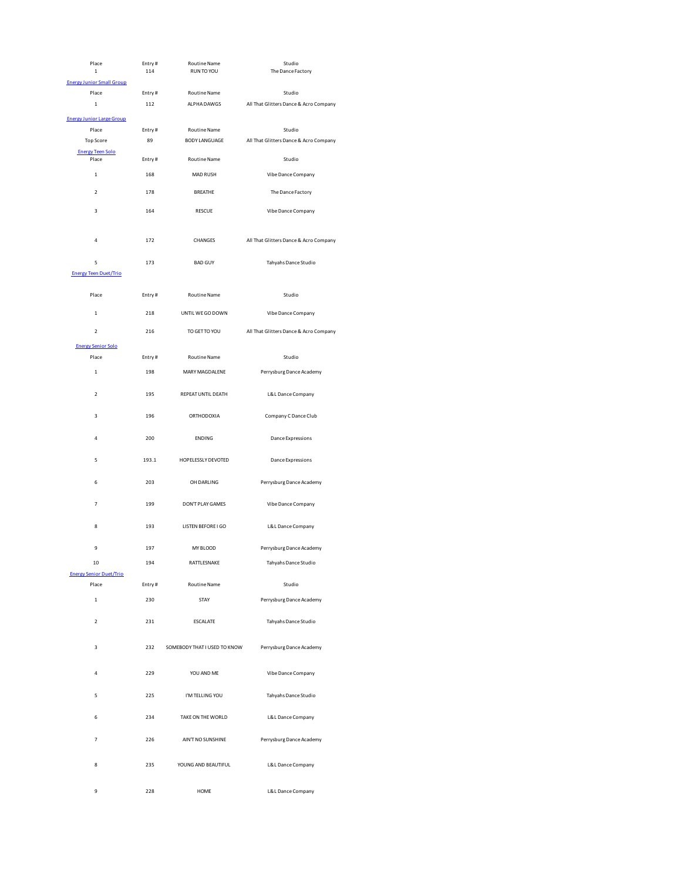| Place                                 | Entry#<br>114 | <b>Routine Name</b><br>RUN TO YOU | Studio<br>The Dance Factory            |
|---------------------------------------|---------------|-----------------------------------|----------------------------------------|
| 1<br><b>Energy Junior Small Group</b> |               |                                   |                                        |
| Place                                 | Entry#        | <b>Routine Name</b>               | Studio                                 |
| $\mathbf 1$                           | 112           | ALPHA DAWGS                       | All That Glitters Dance & Acro Company |
| <b>Energy Junior Large Group</b>      |               |                                   |                                        |
| Place                                 | Entry#        | <b>Routine Name</b>               | Studio                                 |
| Top Score                             | 89            | <b>BODY LANGUAGE</b>              | All That Glitters Dance & Acro Company |
| <b>Energy Teen Solo</b>               |               |                                   |                                        |
| Place                                 | Entry#        | Routine Name                      | Studio                                 |
| $\mathbf 1$                           | 168           | MAD RUSH                          | Vibe Dance Company                     |
| $\overline{\mathbf{2}}$               | 178           | <b>BREATHE</b>                    | The Dance Factory                      |
| 3                                     | 164           | <b>RESCUE</b>                     | Vibe Dance Company                     |
| 4                                     | 172           | CHANGES                           | All That Glitters Dance & Acro Company |
| 5                                     | 173           | <b>BAD GUY</b>                    | Tahyahs Dance Studio                   |
| <b>Energy Teen Duet/Trio</b>          |               |                                   |                                        |
| Place                                 | Entry#        | Routine Name                      | Studio                                 |
| $\mathbf 1$                           | 218           | UNTIL WE GO DOWN                  | Vibe Dance Company                     |
| $\overline{\mathbf{c}}$               | 216           | TO GET TO YOU                     | All That Glitters Dance & Acro Company |
| <b>Energy Senior Solo</b>             |               |                                   |                                        |
| Place                                 | Entry#        | <b>Routine Name</b>               | Studio                                 |
| $\mathbf 1$                           | 198           | MARY MAGDALENE                    | Perrysburg Dance Academy               |
| $\overline{2}$                        | 195           | REPEAT UNTIL DEATH                | L&L Dance Company                      |
| 3                                     | 196           | <b>ORTHODOXIA</b>                 | Company C Dance Club                   |
| 4                                     | 200           | <b>ENDING</b>                     | Dance Expressions                      |
| 5                                     | 193.1         | HOPELESSLY DEVOTED                | Dance Expressions                      |
| 6                                     | 203           | OH DARLING                        | Perrysburg Dance Academy               |
| $\overline{7}$                        | 199           | DON'T PLAY GAMES                  | Vibe Dance Company                     |
| 8                                     | 193           | LISTEN BEFORE I GO                | L&L Dance Company                      |
| 9                                     | 197           | MY BLOOD                          | Perrysburg Dance Academy               |
| 10                                    | 194           | RATTLESNAKE                       | Tahyahs Dance Studio                   |
| <b>Energy Senior Duet/Trio</b>        |               |                                   |                                        |
| Place                                 | Entry#        | Routine Name                      | Studio                                 |
| $\,1\,$                               | 230           | STAY                              | Perrysburg Dance Academy               |
| $\overline{\mathbf{2}}$               | 231           | <b>ESCALATE</b>                   | Tahyahs Dance Studio                   |
| 3                                     | 232           | SOMEBODY THAT I USED TO KNOW      | Perrysburg Dance Academy               |
| 4                                     | 229           | YOU AND ME                        | Vibe Dance Company                     |
| 5                                     | 225           | I'M TELLING YOU                   | Tahyahs Dance Studio                   |
| 6                                     | 234           | TAKE ON THE WORLD                 | L&L Dance Company                      |
| 7                                     | 226           | AIN'T NO SUNSHINE                 | Perrysburg Dance Academy               |
| 8                                     | 235           | YOUNG AND BEAUTIFUL               | L&L Dance Company                      |
| 9                                     | 228           | HOME                              | L&L Dance Company                      |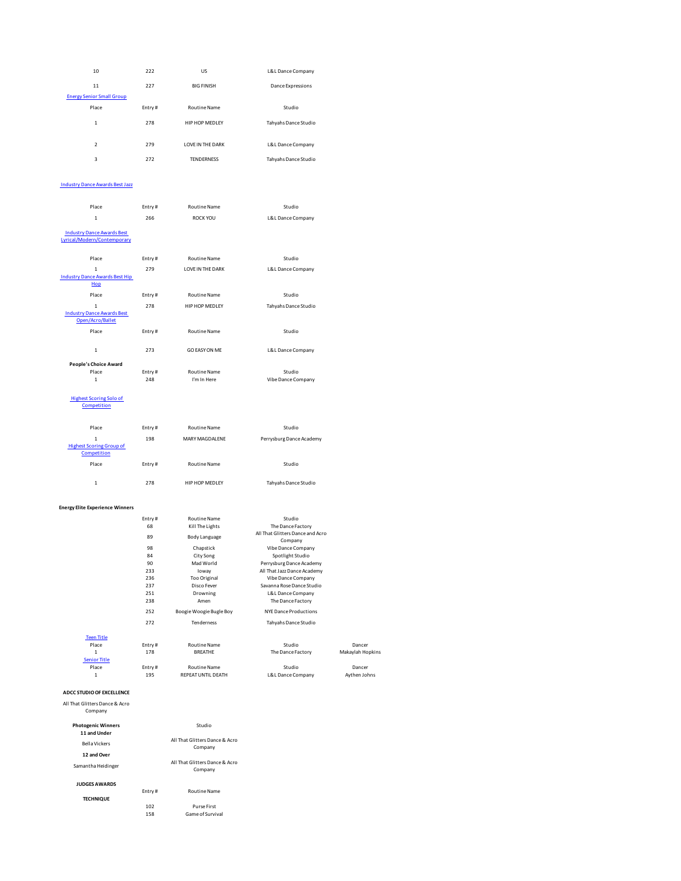| 10                                                               |               |                             |                                                       |                  |
|------------------------------------------------------------------|---------------|-----------------------------|-------------------------------------------------------|------------------|
|                                                                  | 222           | US                          | L&L Dance Company                                     |                  |
|                                                                  |               |                             |                                                       |                  |
| 11                                                               | 227           | <b>BIG FINISH</b>           | Dance Expressions                                     |                  |
| <b>Energy Senior Small Group</b>                                 |               |                             |                                                       |                  |
| Place                                                            | Entry#        | Routine Name                | Studio                                                |                  |
| $\mathbf 1$                                                      | 278           | HIP HOP MEDLEY              | Tahyahs Dance Studio                                  |                  |
| $\overline{\mathbf{c}}$                                          | 279           | LOVE IN THE DARK            | L&L Dance Company                                     |                  |
| 3                                                                | 272           | <b>TENDERNESS</b>           | Tahyahs Dance Studio                                  |                  |
| <b>Industry Dance Awards Best Jazz</b>                           |               |                             |                                                       |                  |
| Place                                                            | Entry#        | Routine Name                | Studio                                                |                  |
| $\mathbf 1$                                                      | 266           | ROCK YOU                    | L&L Dance Company                                     |                  |
| <b>Industry Dance Awards Best</b><br>Lyrical/Modern/Contemporary |               |                             |                                                       |                  |
| Place                                                            | Entry#        | Routine Name                | Studio                                                |                  |
| $\mathbf 1$                                                      | 279           | LOVE IN THE DARK            | L&L Dance Company                                     |                  |
| <b>Industry Dance Awards Best Hip</b><br>Hop                     |               |                             |                                                       |                  |
| Place                                                            | Entry#        | <b>Routine Name</b>         | Studio                                                |                  |
| $\,1\,$                                                          | 278           | HIP HOP MEDLEY              | Tahyahs Dance Studio                                  |                  |
| <b>Industry Dance Awards Best</b><br>Open/Acro/Ballet            |               |                             |                                                       |                  |
| Place                                                            | Entry#        | Routine Name                | Studio                                                |                  |
| $\mathbf 1$                                                      | 273           | <b>GO EASY ON ME</b>        | L&L Dance Company                                     |                  |
| <b>People's Choice Award</b>                                     |               |                             |                                                       |                  |
| Place<br>$\,1\,$                                                 | Entry#<br>248 | Routine Name<br>I'm In Here | Studio<br>Vibe Dance Company                          |                  |
|                                                                  |               |                             |                                                       |                  |
| <b>Highest Scoring Solo of</b><br>Competition                    |               |                             |                                                       |                  |
| Place                                                            | Entry#        | Routine Name                | Studio                                                |                  |
| $\,1\,$                                                          | 198           | MARY MAGDALENE              | Perrysburg Dance Academy                              |                  |
| <b>Highest Scoring Group of</b><br>Competition                   |               |                             |                                                       |                  |
| Place                                                            | Entry#        | Routine Name                | Studio                                                |                  |
| $\mathbf 1$                                                      | 278           | HIP HOP MEDLEY              | Tahyahs Dance Studio                                  |                  |
| <b>Energy Elite Experience Winners</b>                           |               |                             |                                                       |                  |
|                                                                  | Entry#        | Routine Name                | Studio                                                |                  |
|                                                                  | 68            | Kill The Lights             | The Dance Factory<br>All That Glitters Dance and Acro |                  |
|                                                                  | 89            | Body Language               | Company                                               |                  |
|                                                                  | 98<br>84      | Chapstick<br>City Song      | Vibe Dance Company<br>Spotlight Studio                |                  |
|                                                                  | 90            | Mad World                   | Perrysburg Dance Academy                              |                  |
|                                                                  | 233           | loway                       | All That Jazz Dance Academy                           |                  |
|                                                                  | 236           | Too Original                | Vibe Dance Company                                    |                  |
|                                                                  | 237           | Disco Fever                 | Savanna Rose Dance Studio                             |                  |
|                                                                  | 251<br>238    | Drowning<br>Amen            | L&L Dance Company<br>The Dance Factory                |                  |
|                                                                  | 252           | Boogie Woogie Bugle Boy     | <b>NYE Dance Productions</b>                          |                  |
|                                                                  | 272           | Tenderness                  | Tahyahs Dance Studio                                  |                  |
|                                                                  |               |                             |                                                       |                  |
| <b>Teen Title</b>                                                |               |                             |                                                       | Dancer           |
| Place                                                            | Entry#        | Routine Name                | Studio                                                |                  |
| $\mathbf 1$                                                      | 178           | <b>BREATHE</b>              | The Dance Factory                                     | Makaylah Hopkins |
| <b>Senior Title</b><br>Place                                     | Entry#        | <b>Routine Name</b>         | Studio                                                | Dancer           |

| All That Glitters Dance & Acro<br>Company |        |                                           |
|-------------------------------------------|--------|-------------------------------------------|
| <b>Photogenic Winners</b><br>11 and Under |        | Studio                                    |
| <b>Bella Vickers</b>                      |        | All That Glitters Dance & Acro<br>Company |
| 12 and Over                               |        |                                           |
| Samantha Heidinger                        |        | All That Glitters Dance & Acro<br>Company |
| <b>JUDGES AWARDS</b>                      |        |                                           |
|                                           | Entry# | <b>Routine Name</b>                       |
| <b>TECHNIQUE</b>                          |        |                                           |
|                                           | 102    | Purse First                               |
|                                           | 158    | Game of Survival                          |